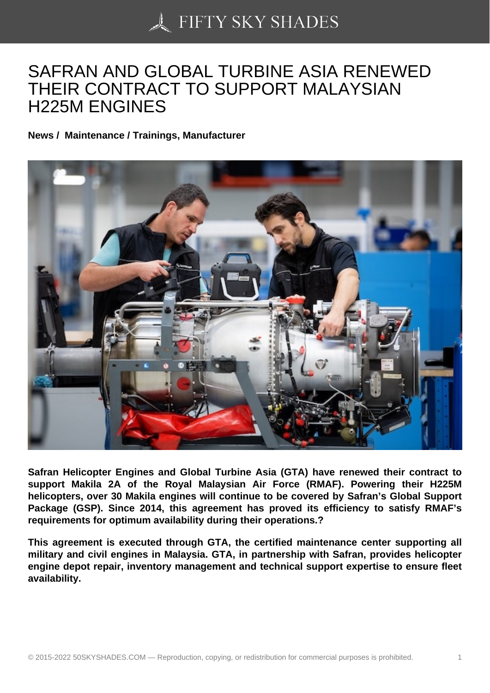## [SAFRAN AND GLOBA](https://50skyshades.com)L TURBINE ASIA RENEWED THEIR CONTRACT TO SUPPORT MALAYSIAN H225M ENGINES

News / Maintenance / Trainings, Manufacturer

Safran Helicopter Engines and Global Turbine Asia (GTA) have renewed their contract to support Makila 2A of the Royal Malaysian Air Force (RMAF). Powering their H225M helicopters, over 30 Makila engines will continue to be covered by Safran's Global Support Package (GSP). Since 2014, this agreement has proved its efficiency to satisfy RMAF's requirements for optimum availability during their operations.?

This agreement is executed through GTA, the certified maintenance center supporting all military and civil engines in Malaysia. GTA, in partnership with Safran, provides helicopter engine depot repair, inventory management and technical support expertise to ensure fleet availability.